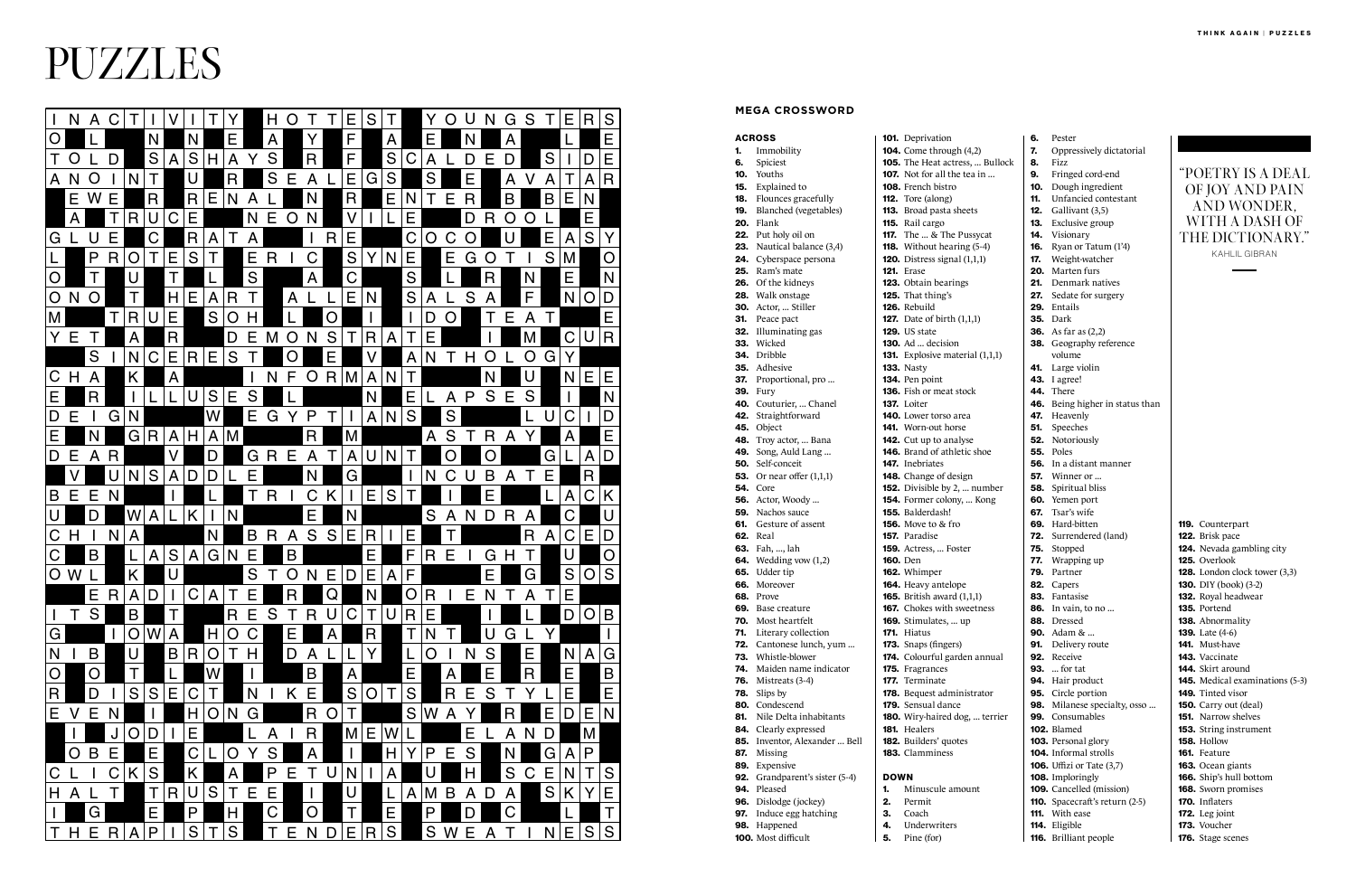100. Most difficult

- 4. Underwriters
- **5.** Pine (for)
- -

105. The Heat actress, ... Bullock

152. Divisible by 2, ... number 154. Former colony, ... Kong

174. Colourful garden annual

180. Wiry-haired dog, ... terrier

6. Pester

7. Oppressively dictatorial

**131.** Explosive material  $(1,1,1)$ 

## ACROSS 1. Immobility 6. Spiciest 10. Youths 15. Explained to 18. Flounces gracefully 19. Blanched (vegetables) 20. Flank 22. Put holy oil on **23.** Nautical balance (3,4) 24. Cyberspace persona 25. Ram's mate 26. Of the kidneys 28. Walk onstage 30. Actor, ... Stiller 31. Peace pact 32. Illuminating gas 33. Wicked 34. Dribble 35. Adhesive 37. Proportional, pro ... **39.** Fury 40. Couturier, ... Chanel 42. Straightforward 45. Object 48. Troy actor, ... Bana 49. Song, Auld Lang ... 50. Self-conceit **53.** Or near offer  $(1,1,1)$ 54. Core **56.** Actor, Woody ... 59. Nachos sauce **61.** Gesture of assent 62. Real 63. Fah, ..., lah **64.** Wedding vow  $(1,2)$ 65. Udder tip 66. Moreover 68. Prove 69. Base creature 70. Most heartfelt 71. Literary collection 72. Cantonese lunch, yum ... 73. Whistle-blower 74. Maiden name indicator 76. Mistreats (3-4) 78. Slips by 80. Condescend 81. Nile Delta inhabitants 84. Clearly expressed 85. Inventor, Alexander ... Bell 87. Missing 89. Expensive 92. Grandparent's sister (5-4) 94. Pleased 96. Dislodge (jockey) **97.** Induce egg hatching 98. Happened 101. Deprivation 104. Come through (4,2) 107. Not for all the tea in ... 108. French bistro 112. Tore (along) 113. Broad pasta sheets 115. Rail cargo 117. The ... & The Pussycat 118. Without hearing (5-4) 120. Distress signal (1,1,1) 121. Erase 123. Obtain bearings 125. That thing's 126. Rebuild 127. Date of birth (1,1,1) 129. US state **130.** Ad ... decision **133.** Nasty 134. Pen point 136. Fish or meat stock 137. Loiter 140. Lower torso area 141. Worn-out horse 142. Cut up to analyse 146. Brand of athletic shoe 147. Inebriates 148. Change of design 155. Balderdash! **156.** Move to & fro 157. Paradise 159. Actress, ... Foster 160. Den 162. Whimper 164. Heavy antelope **165.** British award (1,1,1) 167. Chokes with sweetness 169. Stimulates, ... up 171. Hiatus 173. Snaps (fingers) 175. Fragrances 177. Terminate 178. Bequest administrator 179. Sensual dance 181. Healers 182. Builders' quotes 183. Clamminess DOWN 1. Minuscule amount 2. Permit 3. Coach **MEGA CROSSWORD**

| 8.  | <b>Fizz</b>                      |
|-----|----------------------------------|
| 9.  | Fringed cord-end                 |
| 10. | Dough ingredient                 |
| 11. | Unfancied contestant             |
| 12. | Gallivant (3,5)                  |
| 13. | Exclusive group                  |
| 14. | Visionary                        |
| 16. | Ryan or Tatum (1'4)              |
| 17. | Weight-watcher                   |
| 20. | Marten furs                      |
| 21. | Denmark natives                  |
| 27. | Sedate for surgery               |
| 29. | Entails                          |
| 35. | Dark                             |
|     | <b>36.</b> As far as (2,2)       |
|     | 38. Geography reference          |
|     | volume                           |
| 41. | Large violin                     |
| 43. | I agree!                         |
| 44. | There                            |
| 46. | Being higher in status than      |
| 47. | Heavenly                         |
|     | 51. Speeches                     |
| 52. | Notoriously                      |
| 55. | Poles                            |
| 56. | In a distant manner              |
|     | <b>57.</b> Winner or             |
| 58. | Spiritual bliss                  |
| 60. | Yemen port                       |
| 67. | Tsar's wife                      |
| 69. | Hard-bitten                      |
|     | <b>72.</b> Surrendered (land)    |
| 75. | Stopped                          |
| 77. | Wrapping up                      |
| 79. | Partner                          |
| 82. | Capers                           |
| 83. | Fantasise                        |
| 86. | In vain, to no                   |
| 88. | Dressed                          |
|     | <b>90.</b> Adam &                |
| 91. | Delivery route                   |
| 92. | Receive                          |
| 93. | $\ldots$ for tat                 |
| 94. | Hair product                     |
| 95. | Circle portion                   |
| 98. | Milanese specialty, osso         |
|     | 99. Consumables                  |
|     | 102. Blamed                      |
|     | <b>103.</b> Personal glory       |
|     | 104. Informal strolls            |
|     | <b>106.</b> Uffizi or Tate (3,7) |
|     | 108. Imploringly                 |
|     | <b>109.</b> Cancelled (mission)  |
|     | 110. Spacecraft's return (2-5)   |
|     | 111. With ease                   |

114. Eligible 116. Brilliant people 119. Counterpart 122. Brisk pace 124. Nevada gambling city 125. Overlook 128. London clock tower (3,3) 130. DIY (book) (3-2) 132. Royal headwear 135. Portend 138. Abnormality 139. Late (4-6) 141. Must-have 143. Vaccinate 144. Skirt around 145. Medical examinations (5-3) 149. Tinted visor 150. Carry out (deal) 151. Narrow shelves 153. String instrument 158. Hollow 161. Feature 163. Ocean giants 166. Ship's hull bottom 168. Sworn promises 170. Inflaters 172. Leg joint

173. Voucher



"POETRY IS A DEAL OF JOY AND PAIN AND WONDER, WITH A DASH OF THE DICTIONARY."

KAHLIL GIBRAN